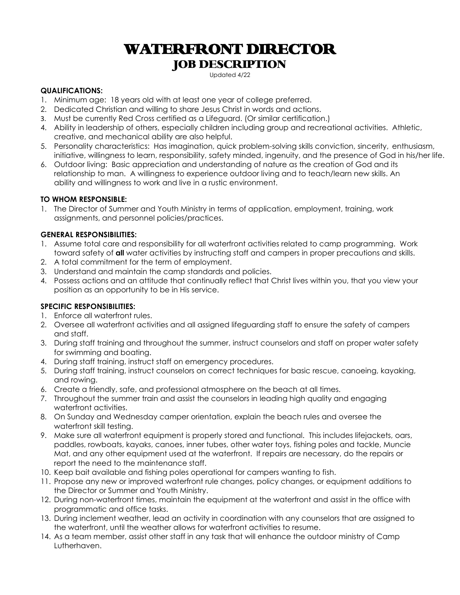# WATERFRONT DIRECTOR JOB DESCRIPTION

Updated 4/22

#### **QUALIFICATIONS:**

- 1. Minimum age: 18 years old with at least one year of college preferred.
- 2. Dedicated Christian and willing to share Jesus Christ in words and actions.
- 3. Must be currently Red Cross certified as a Lifeguard. (Or similar certification.)
- 4. Ability in leadership of others, especially children including group and recreational activities. Athletic, creative, and mechanical ability are also helpful.
- 5. Personality characteristics: Has imagination, quick problem-solving skills conviction, sincerity, enthusiasm, initiative, willingness to learn, responsibility, safety minded, ingenuity, and the presence of God in his/her life.
- 6. Outdoor living: Basic appreciation and understanding of nature as the creation of God and its relationship to man. A willingness to experience outdoor living and to teach/learn new skills. An ability and willingness to work and live in a rustic environment.

#### **TO WHOM RESPONSIBLE:**

1. The Director of Summer and Youth Ministry in terms of application, employment, training, work assignments, and personnel policies/practices.

#### **GENERAL RESPONSIBILITIES:**

- 1. Assume total care and responsibility for all waterfront activities related to camp programming. Work toward safety of **all** water activities by instructing staff and campers in proper precautions and skills.
- 2. A total commitment for the term of employment.
- 3. Understand and maintain the camp standards and policies.
- 4. Possess actions and an attitude that continually reflect that Christ lives within you, that you view your position as an opportunity to be in His service.

#### **SPECIFIC RESPONSIBILITIES:**

- 1. Enforce all waterfront rules.
- 2. Oversee all waterfront activities and all assigned lifeguarding staff to ensure the safety of campers and staff.
- 3. During staff training and throughout the summer, instruct counselors and staff on proper water safety for swimming and boating.
- 4. During staff training, instruct staff on emergency procedures.
- 5. During staff training, instruct counselors on correct techniques for basic rescue, canoeing, kayaking, and rowing.
- 6. Create a friendly, safe, and professional atmosphere on the beach at all times.
- 7. Throughout the summer train and assist the counselors in leading high quality and engaging waterfront activities.
- 8. On Sunday and Wednesday camper orientation, explain the beach rules and oversee the waterfront skill testing.
- 9. Make sure all waterfront equipment is properly stored and functional. This includes lifejackets, oars, paddles, rowboats, kayaks, canoes, inner tubes, other water toys, fishing poles and tackle, Muncie Mat, and any other equipment used at the waterfront. If repairs are necessary, do the repairs or report the need to the maintenance staff.
- 10. Keep bait available and fishing poles operational for campers wanting to fish.
- 11. Propose any new or improved waterfront rule changes, policy changes, or equipment additions to the Director or Summer and Youth Ministry.
- 12. During non-waterfront times, maintain the equipment at the waterfront and assist in the office with programmatic and office tasks.
- 13. During inclement weather, lead an activity in coordination with any counselors that are assigned to the waterfront, until the weather allows for waterfront activities to resume.
- 14. As a team member, assist other staff in any task that will enhance the outdoor ministry of Camp Lutherhaven.